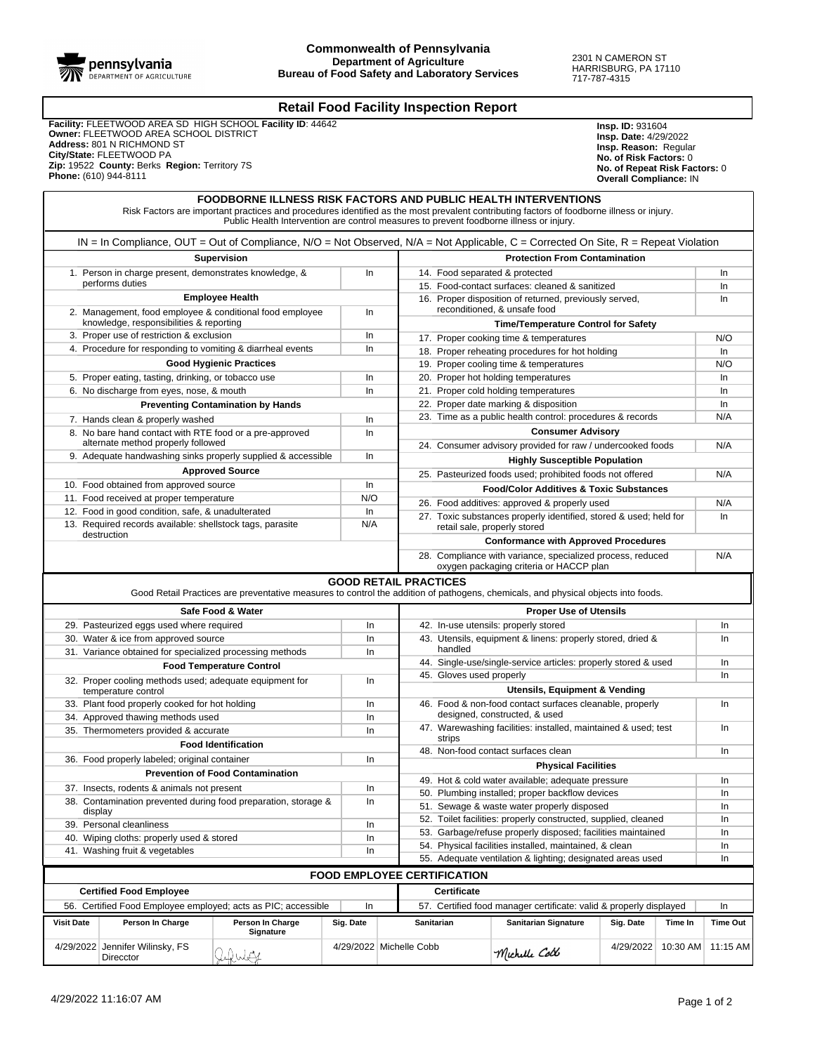

## **Retail Food Facility Inspection Report**

 **Facility:** FLEETWOOD AREA SD HIGH SCHOOL **Facility ID**: 44642  **Owner:** FLEETWOOD AREA SCHOOL DISTRICT  **Address:** 801 N RICHMOND ST  **City/State:** FLEETWOOD PA  **Zip:** 19522 **County:** Berks **Region:** Territory 7S  **Phone:** (610) 944-8111

**Insp. ID:** 931604 **Insp. Date:** 4/29/2022 **Insp. Reason:** Regular **No. of Risk Factors:** 0 **No. of Repeat Risk Factors:** 0 **Overall Compliance:** IN

|                                                                                   |                                                                                                                                      | FOODBORNE ILLNESS RISK FACTORS AND PUBLIC HEALTH INTERVENTIONS<br>Risk Factors are important practices and procedures identified as the most prevalent contributing factors of foodborne illness or injury.<br>Public Health Intervention are control measures to prevent foodborne illness or injury. |           |                                                            |                                                                                                                 |                                                            |           |          |                 |  |  |
|-----------------------------------------------------------------------------------|--------------------------------------------------------------------------------------------------------------------------------------|--------------------------------------------------------------------------------------------------------------------------------------------------------------------------------------------------------------------------------------------------------------------------------------------------------|-----------|------------------------------------------------------------|-----------------------------------------------------------------------------------------------------------------|------------------------------------------------------------|-----------|----------|-----------------|--|--|
|                                                                                   | $IN = In$ Compliance, OUT = Out of Compliance, N/O = Not Observed, N/A = Not Applicable, C = Corrected On Site, R = Repeat Violation |                                                                                                                                                                                                                                                                                                        |           |                                                            |                                                                                                                 |                                                            |           |          |                 |  |  |
|                                                                                   |                                                                                                                                      | <b>Supervision</b>                                                                                                                                                                                                                                                                                     |           | <b>Protection From Contamination</b>                       |                                                                                                                 |                                                            |           |          |                 |  |  |
| 1. Person in charge present, demonstrates knowledge, &<br>performs duties         |                                                                                                                                      |                                                                                                                                                                                                                                                                                                        | In        |                                                            | 14. Food separated & protected                                                                                  |                                                            |           |          |                 |  |  |
|                                                                                   |                                                                                                                                      |                                                                                                                                                                                                                                                                                                        |           |                                                            | 15. Food-contact surfaces: cleaned & sanitized                                                                  |                                                            |           |          |                 |  |  |
|                                                                                   |                                                                                                                                      | <b>Employee Health</b>                                                                                                                                                                                                                                                                                 |           |                                                            |                                                                                                                 | 16. Proper disposition of returned, previously served,     |           |          | In              |  |  |
| 2. Management, food employee & conditional food employee                          |                                                                                                                                      |                                                                                                                                                                                                                                                                                                        |           |                                                            | reconditioned, & unsafe food                                                                                    |                                                            |           |          |                 |  |  |
|                                                                                   | knowledge, responsibilities & reporting                                                                                              |                                                                                                                                                                                                                                                                                                        |           |                                                            | <b>Time/Temperature Control for Safety</b>                                                                      |                                                            |           |          |                 |  |  |
|                                                                                   | 3. Proper use of restriction & exclusion                                                                                             |                                                                                                                                                                                                                                                                                                        | In        |                                                            | N/O<br>17. Proper cooking time & temperatures                                                                   |                                                            |           |          |                 |  |  |
|                                                                                   | 4. Procedure for responding to vomiting & diarrheal events                                                                           |                                                                                                                                                                                                                                                                                                        | In        |                                                            | 18. Proper reheating procedures for hot holding<br>In                                                           |                                                            |           |          |                 |  |  |
|                                                                                   |                                                                                                                                      | <b>Good Hygienic Practices</b>                                                                                                                                                                                                                                                                         |           |                                                            |                                                                                                                 | 19. Proper cooling time & temperatures                     |           |          | N/O             |  |  |
|                                                                                   | 5. Proper eating, tasting, drinking, or tobacco use                                                                                  |                                                                                                                                                                                                                                                                                                        | In        |                                                            |                                                                                                                 | 20. Proper hot holding temperatures                        |           |          | In              |  |  |
|                                                                                   | 6. No discharge from eyes, nose, & mouth                                                                                             |                                                                                                                                                                                                                                                                                                        | In        |                                                            |                                                                                                                 | 21. Proper cold holding temperatures                       |           |          | In              |  |  |
|                                                                                   |                                                                                                                                      | <b>Preventing Contamination by Hands</b>                                                                                                                                                                                                                                                               |           |                                                            | 22. Proper date marking & disposition<br>In<br>N/A<br>23. Time as a public health control: procedures & records |                                                            |           |          |                 |  |  |
|                                                                                   | 7. Hands clean & properly washed                                                                                                     |                                                                                                                                                                                                                                                                                                        | In        |                                                            |                                                                                                                 |                                                            |           |          |                 |  |  |
|                                                                                   | 8. No bare hand contact with RTE food or a pre-approved<br>alternate method properly followed                                        |                                                                                                                                                                                                                                                                                                        | In        |                                                            | <b>Consumer Advisory</b>                                                                                        |                                                            |           |          |                 |  |  |
|                                                                                   | 9. Adequate handwashing sinks properly supplied & accessible                                                                         |                                                                                                                                                                                                                                                                                                        | In        |                                                            | 24. Consumer advisory provided for raw / undercooked foods                                                      |                                                            |           |          |                 |  |  |
|                                                                                   |                                                                                                                                      | <b>Approved Source</b>                                                                                                                                                                                                                                                                                 |           |                                                            |                                                                                                                 | <b>Highly Susceptible Population</b>                       |           |          |                 |  |  |
|                                                                                   | 10. Food obtained from approved source                                                                                               |                                                                                                                                                                                                                                                                                                        | In        |                                                            |                                                                                                                 | 25. Pasteurized foods used; prohibited foods not offered   |           |          | N/A             |  |  |
|                                                                                   | 11. Food received at proper temperature                                                                                              |                                                                                                                                                                                                                                                                                                        | N/O       |                                                            |                                                                                                                 | <b>Food/Color Additives &amp; Toxic Substances</b>         |           |          |                 |  |  |
|                                                                                   | 12. Food in good condition, safe, & unadulterated                                                                                    |                                                                                                                                                                                                                                                                                                        | In        |                                                            |                                                                                                                 | 26. Food additives: approved & properly used               |           |          | N/A<br>In       |  |  |
|                                                                                   | 13. Required records available: shellstock tags, parasite                                                                            |                                                                                                                                                                                                                                                                                                        | N/A       |                                                            | 27. Toxic substances properly identified, stored & used; held for<br>retail sale, properly stored               |                                                            |           |          |                 |  |  |
|                                                                                   | destruction                                                                                                                          |                                                                                                                                                                                                                                                                                                        |           |                                                            |                                                                                                                 | <b>Conformance with Approved Procedures</b>                |           |          |                 |  |  |
|                                                                                   |                                                                                                                                      |                                                                                                                                                                                                                                                                                                        |           |                                                            | 28. Compliance with variance, specialized process, reduced<br>oxygen packaging criteria or HACCP plan           |                                                            |           |          |                 |  |  |
|                                                                                   |                                                                                                                                      | Good Retail Practices are preventative measures to control the addition of pathogens, chemicals, and physical objects into foods.                                                                                                                                                                      |           | <b>GOOD RETAIL PRACTICES</b>                               |                                                                                                                 |                                                            |           |          |                 |  |  |
|                                                                                   |                                                                                                                                      | Safe Food & Water                                                                                                                                                                                                                                                                                      |           |                                                            |                                                                                                                 | <b>Proper Use of Utensils</b>                              |           |          |                 |  |  |
|                                                                                   | 29. Pasteurized eggs used where required                                                                                             |                                                                                                                                                                                                                                                                                                        | In        |                                                            | 42. In-use utensils: properly stored                                                                            |                                                            |           |          |                 |  |  |
| 30. Water & ice from approved source<br>In                                        |                                                                                                                                      |                                                                                                                                                                                                                                                                                                        |           |                                                            |                                                                                                                 | 43. Utensils, equipment & linens: properly stored, dried & |           |          | In<br>In        |  |  |
| 31. Variance obtained for specialized processing methods                          |                                                                                                                                      |                                                                                                                                                                                                                                                                                                        |           |                                                            | handled                                                                                                         |                                                            |           |          |                 |  |  |
|                                                                                   |                                                                                                                                      | <b>Food Temperature Control</b>                                                                                                                                                                                                                                                                        |           |                                                            | 44. Single-use/single-service articles: properly stored & used                                                  |                                                            |           |          |                 |  |  |
| 32. Proper cooling methods used; adequate equipment for<br>In                     |                                                                                                                                      |                                                                                                                                                                                                                                                                                                        |           |                                                            | 45. Gloves used properly                                                                                        |                                                            |           |          |                 |  |  |
|                                                                                   | temperature control                                                                                                                  |                                                                                                                                                                                                                                                                                                        |           | Utensils, Equipment & Vending                              |                                                                                                                 |                                                            |           |          |                 |  |  |
|                                                                                   | 33. Plant food properly cooked for hot holding                                                                                       |                                                                                                                                                                                                                                                                                                        | In<br>In  |                                                            | 46. Food & non-food contact surfaces cleanable, properly<br>In.                                                 |                                                            |           |          |                 |  |  |
| 34. Approved thawing methods used                                                 |                                                                                                                                      |                                                                                                                                                                                                                                                                                                        |           |                                                            | designed, constructed, & used                                                                                   |                                                            |           |          |                 |  |  |
| 35. Thermometers provided & accurate                                              |                                                                                                                                      |                                                                                                                                                                                                                                                                                                        |           |                                                            | 47. Warewashing facilities: installed, maintained & used; test<br>strips                                        |                                                            |           |          |                 |  |  |
| <b>Food Identification</b>                                                        |                                                                                                                                      |                                                                                                                                                                                                                                                                                                        |           |                                                            | 48. Non-food contact surfaces clean<br>In                                                                       |                                                            |           |          |                 |  |  |
|                                                                                   | 36. Food properly labeled; original container                                                                                        |                                                                                                                                                                                                                                                                                                        | In        |                                                            |                                                                                                                 | <b>Physical Facilities</b>                                 |           |          |                 |  |  |
|                                                                                   | <b>Prevention of Food Contamination</b>                                                                                              |                                                                                                                                                                                                                                                                                                        |           |                                                            |                                                                                                                 | 49. Hot & cold water available; adequate pressure<br>In    |           |          |                 |  |  |
| 37. Insects, rodents & animals not present<br>In                                  |                                                                                                                                      |                                                                                                                                                                                                                                                                                                        |           |                                                            | 50. Plumbing installed; proper backflow devices<br>In                                                           |                                                            |           |          |                 |  |  |
| 38. Contamination prevented during food preparation, storage &                    |                                                                                                                                      |                                                                                                                                                                                                                                                                                                        | In        |                                                            | 51. Sewage & waste water properly disposed<br>In                                                                |                                                            |           |          |                 |  |  |
| display<br>39. Personal cleanliness                                               |                                                                                                                                      |                                                                                                                                                                                                                                                                                                        |           |                                                            | 52. Toilet facilities: properly constructed, supplied, cleaned<br>In                                            |                                                            |           |          |                 |  |  |
|                                                                                   |                                                                                                                                      |                                                                                                                                                                                                                                                                                                        | In<br>In  |                                                            | 53. Garbage/refuse properly disposed; facilities maintained                                                     |                                                            |           |          |                 |  |  |
| 40. Wiping cloths: properly used & stored<br>41. Washing fruit & vegetables<br>In |                                                                                                                                      |                                                                                                                                                                                                                                                                                                        |           |                                                            | 54. Physical facilities installed, maintained, & clean                                                          |                                                            |           |          |                 |  |  |
|                                                                                   |                                                                                                                                      |                                                                                                                                                                                                                                                                                                        |           | 55. Adequate ventilation & lighting; designated areas used |                                                                                                                 |                                                            |           |          |                 |  |  |
|                                                                                   |                                                                                                                                      |                                                                                                                                                                                                                                                                                                        |           |                                                            | <b>FOOD EMPLOYEE CERTIFICATION</b>                                                                              |                                                            |           |          |                 |  |  |
|                                                                                   | <b>Certified Food Employee</b>                                                                                                       |                                                                                                                                                                                                                                                                                                        |           |                                                            | Certificate                                                                                                     |                                                            |           |          |                 |  |  |
| 56. Certified Food Employee employed; acts as PIC; accessible<br>In               |                                                                                                                                      |                                                                                                                                                                                                                                                                                                        |           |                                                            | 57. Certified food manager certificate: valid & properly displayed                                              |                                                            |           |          |                 |  |  |
| <b>Visit Date</b>                                                                 | Person In Charge                                                                                                                     | Person In Charge                                                                                                                                                                                                                                                                                       | Sig. Date |                                                            | Sanitarian                                                                                                      | <b>Sanitarian Signature</b>                                | Sig. Date | Time In  | <b>Time Out</b> |  |  |
|                                                                                   | 4/29/2022 Jennifer Wilinsky, FS                                                                                                      | Signature                                                                                                                                                                                                                                                                                              |           | 4/29/2022 Michelle Cobb                                    |                                                                                                                 |                                                            | 4/29/2022 |          | 11:15 AM        |  |  |
|                                                                                   | Direcctor                                                                                                                            | lifulit                                                                                                                                                                                                                                                                                                |           |                                                            |                                                                                                                 | Michelle Coll                                              |           | 10:30 AM |                 |  |  |